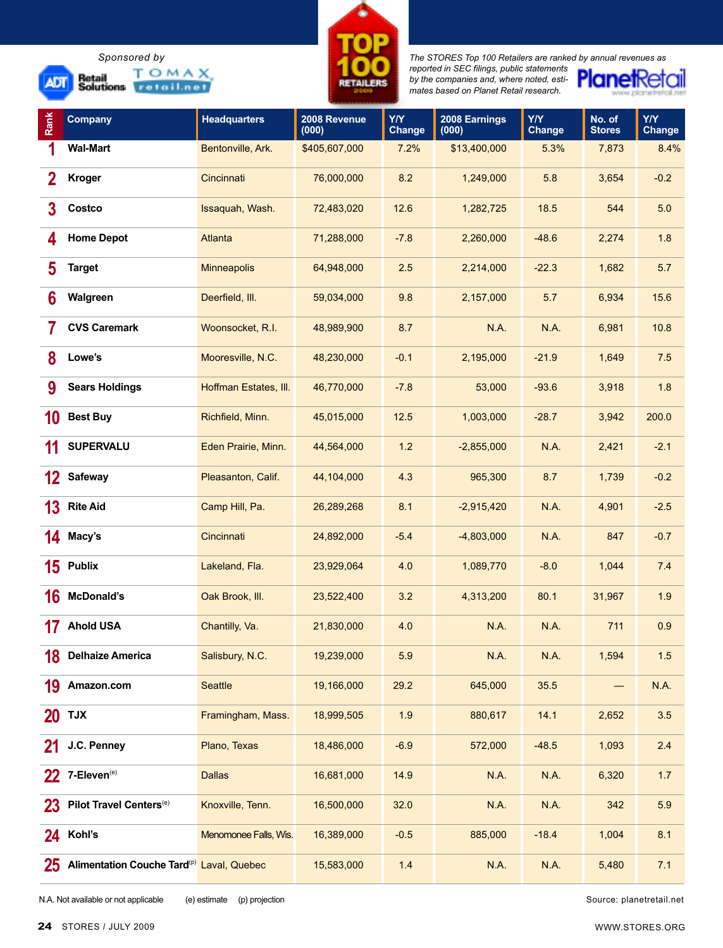*Sponsored by* 



TOMAX Retail<br>Solutions



*The STORES Top 100 Retailers are ranked by annual revenues as reported in SEC filings, public statements by the companies and, where noted, estimates based on Planet Retail research.* 



| Rank        | Company                                               | <b>Headquarters</b>   | 2008 Revenue<br>(000) | <b>Y/Y</b><br>Change | 2008 Earnings<br>(000) | <b>Y/Y</b><br>Change | No. of<br><b>Stores</b> | <b>Y/Y</b><br>Change |
|-------------|-------------------------------------------------------|-----------------------|-----------------------|----------------------|------------------------|----------------------|-------------------------|----------------------|
|             | <b>Wal-Mart</b>                                       | Bentonville, Ark.     | \$405,607,000         | 7.2%                 | \$13,400,000           | 5.3%                 | 7,873                   | 8.4%                 |
| $\mathbf 2$ | Kroger                                                | Cincinnati            | 76,000,000            | 8.2                  | 1,249,000              | 5.8                  | 3,654                   | $-0.2$               |
| 3           | Costco                                                | Issaquah, Wash.       | 72,483,020            | 12.6                 | 1,282,725              | 18.5                 | 544                     | 5.0                  |
| 4           | <b>Home Depot</b>                                     | Atlanta               | 71,288,000            | $-7.8$               | 2,260,000              | $-48.6$              | 2,274                   | 1.8                  |
| 5           | <b>Target</b>                                         | Minneapolis           | 64,948,000            | 2.5                  | 2,214,000              | $-22.3$              | 1,682                   | 5.7                  |
| 6           | Walgreen                                              | Deerfield, III.       | 59,034,000            | 9.8                  | 2,157,000              | 5.7                  | 6,934                   | 15.6                 |
|             | <b>CVS Caremark</b>                                   | Woonsocket, R.I.      | 48,989,900            | 8.7                  | N.A.                   | N.A.                 | 6,981                   | 10.8                 |
| 8           | Lowe's                                                | Mooresville, N.C.     | 48,230,000            | $-0.1$               | 2,195,000              | $-21.9$              | 1,649                   | 7.5                  |
| 9           | <b>Sears Holdings</b>                                 | Hoffman Estates, III. | 46,770,000            | $-7.8$               | 53,000                 | $-93.6$              | 3,918                   | 1.8                  |
| 10          | <b>Best Buy</b>                                       | Richfield, Minn.      | 45,015,000            | 12.5                 | 1,003,000              | $-28.7$              | 3,942                   | 200.0                |
|             | <b>SUPERVALU</b>                                      | Eden Prairie, Minn.   | 44,564,000            | $1.2$                | $-2,855,000$           | N.A.                 | 2,421                   | $-2.1$               |
| 12          | <b>Safeway</b>                                        | Pleasanton, Calif.    | 44,104,000            | 4.3                  | 965,300                | 8.7                  | 1,739                   | $-0.2$               |
| 13          | <b>Rite Aid</b>                                       | Camp Hill, Pa.        | 26,289,268            | 8.1                  | $-2,915,420$           | N.A.                 | 4,901                   | $-2.5$               |
| 14          | Macy's                                                | Cincinnati            | 24,892,000            | $-5.4$               | $-4,803,000$           | N.A.                 | 847                     | $-0.7$               |
| 15          | <b>Publix</b>                                         | Lakeland, Fla.        | 23,929,064            | 4.0                  | 1,089,770              | $-8.0$               | 1,044                   | 7.4                  |
| 16          | McDonald's                                            | Oak Brook, III.       | 23,522,400            | 3.2                  | 4,313,200              | 80.1                 | 31,967                  | 1.9                  |
| 17          | <b>Ahold USA</b>                                      | Chantilly, Va.        | 21,830,000            | 4.0                  | N.A.                   | N.A.                 | 711                     | 0.9                  |
| 18          | <b>Delhaize America</b>                               | Salisbury, N.C.       | 19,239,000            | 5.9                  | N.A.                   | N.A.                 | 1,594                   | 1.5                  |
| 19          | Amazon.com                                            | <b>Seattle</b>        | 19,166,000            | 29.2                 | 645,000                | 35.5                 |                         | N.A.                 |
| <b>20</b>   | <b>TJX</b>                                            | Framingham, Mass.     | 18,999,505            | 1.9                  | 880,617                | 14.1                 | 2,652                   | 3.5                  |
| 21          | J.C. Penney                                           | Plano, Texas          | 18,486,000            | $-6.9$               | 572,000                | $-48.5$              | 1,093                   | 2.4                  |
| <b>22</b>   | 7-Eleven <sup>(e)</sup>                               | Dallas                | 16,681,000            | 14.9                 | N.A.                   | N.A.                 | 6,320                   | 1.7                  |
| 23          | Pilot Travel Centers <sup>(e)</sup>                   | Knoxville, Tenn.      | 16,500,000            | 32.0                 | N.A.                   | N.A.                 | 342                     | 5.9                  |
|             | 24 Kohl's                                             | Menomonee Falls, Wis. | 16,389,000            | $-0.5$               | 885,000                | $-18.4$              | 1,004                   | 8.1                  |
| 25          | Alimentation Couche Tard <sup>(p)</sup> Laval, Quebec |                       | 15,583,000            | 1.4                  | N.A.                   | N.A.                 | 5,480                   | 7.1                  |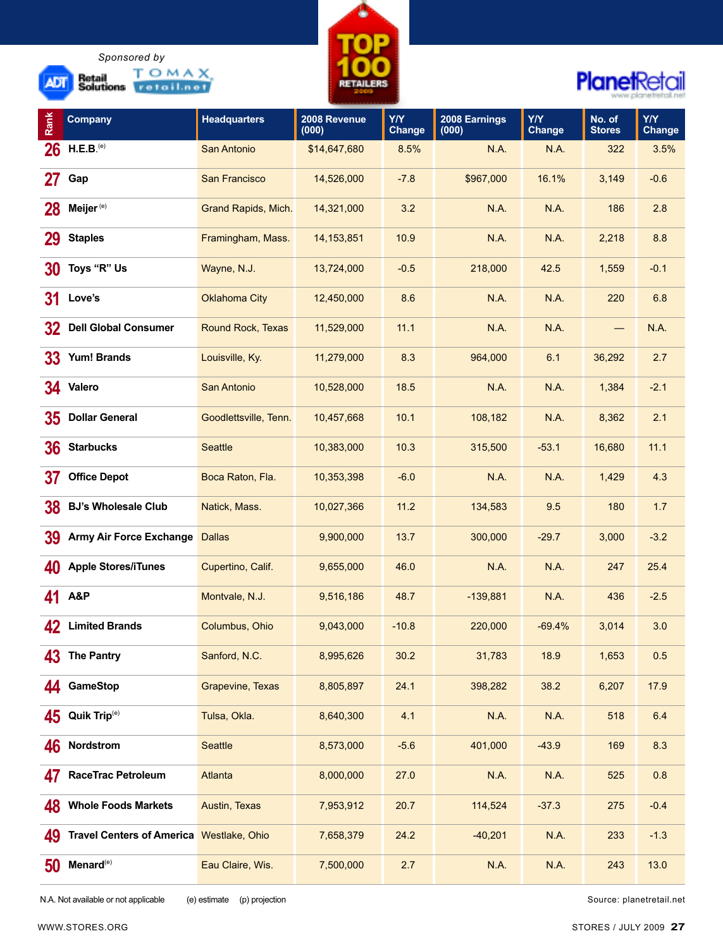

**ADT** 







| Rank | Company                          | <b>Headquarters</b>     | 2008 Revenue<br>(000) | <b>Y/Y</b><br>Change | 2008 Earnings<br>(000) | Y/Y<br>Change | No. of<br><b>Stores</b> | <b>Y/Y</b><br>Change |
|------|----------------------------------|-------------------------|-----------------------|----------------------|------------------------|---------------|-------------------------|----------------------|
| 26   | H.E.B. <sup>(e)</sup>            | San Antonio             | \$14,647,680          | 8.5%                 | N.A.                   | N.A.          | 322                     | 3.5%                 |
| 27   | Gap                              | San Francisco           | 14,526,000            | $-7.8$               | \$967,000              | 16.1%         | 3,149                   | $-0.6$               |
| 28   | Meijer <sup>(e)</sup>            | Grand Rapids, Mich.     | 14,321,000            | 3.2                  | N.A.                   | N.A.          | 186                     | 2.8                  |
| 29   | <b>Staples</b>                   | Framingham, Mass.       | 14, 153, 851          | 10.9                 | N.A.                   | N.A.          | 2,218                   | 8.8                  |
| 30   | Toys "R" Us                      | Wayne, N.J.             | 13,724,000            | $-0.5$               | 218,000                | 42.5          | 1,559                   | $-0.1$               |
| 31   | Love's                           | <b>Oklahoma City</b>    | 12,450,000            | 8.6                  | N.A.                   | N.A.          | 220                     | 6.8                  |
| 32   | <b>Dell Global Consumer</b>      | Round Rock, Texas       | 11,529,000            | 11.1                 | N.A.                   | N.A.          |                         | N.A.                 |
| 33   | <b>Yum! Brands</b>               | Louisville, Ky.         | 11,279,000            | 8.3                  | 964,000                | 6.1           | 36,292                  | 2.7                  |
| 34   | Valero                           | San Antonio             | 10,528,000            | 18.5                 | N.A.                   | N.A.          | 1,384                   | $-2.1$               |
| 35   | <b>Dollar General</b>            | Goodlettsville, Tenn.   | 10,457,668            | 10.1                 | 108,182                | N.A.          | 8,362                   | 2.1                  |
| 36   | <b>Starbucks</b>                 | Seattle                 | 10,383,000            | 10.3                 | 315,500                | $-53.1$       | 16,680                  | 11.1                 |
| 37   | <b>Office Depot</b>              | Boca Raton, Fla.        | 10,353,398            | $-6.0$               | N.A.                   | N.A.          | 1,429                   | 4.3                  |
| 38   | <b>BJ's Wholesale Club</b>       | Natick, Mass.           | 10,027,366            | 11.2                 | 134,583                | 9.5           | 180                     | $1.7$                |
| 39   | <b>Army Air Force Exchange</b>   | <b>Dallas</b>           | 9,900,000             | 13.7                 | 300,000                | $-29.7$       | 3,000                   | $-3.2$               |
| 40   | <b>Apple Stores/iTunes</b>       | Cupertino, Calif.       | 9,655,000             | 46.0                 | N.A.                   | N.A.          | 247                     | 25.4                 |
| 41   | A&P                              | Montvale, N.J.          | 9,516,186             | 48.7                 | $-139,881$             | N.A.          | 436                     | $-2.5$               |
| 42   | <b>Limited Brands</b>            | Columbus, Ohio          | 9,043,000             | $-10.8$              | 220,000                | $-69.4%$      | 3,014                   | 3.0                  |
| 43   | <b>The Pantry</b>                | Sanford, N.C.           | 8,995,626             | 30.2                 | 31,783                 | 18.9          | 1,653                   | 0.5                  |
| 44   | <b>GameStop</b>                  | <b>Grapevine, Texas</b> | 8,805,897             | 24.1                 | 398,282                | 38.2          | 6,207                   | 17.9                 |
| 45   | Quik Trip <sup>(e)</sup>         | Tulsa, Okla.            | 8,640,300             | 4.1                  | N.A.                   | N.A.          | 518                     | 6.4                  |
| 46   | Nordstrom                        | <b>Seattle</b>          | 8,573,000             | $-5.6$               | 401,000                | $-43.9$       | 169                     | 8.3                  |
| 47   | RaceTrac Petroleum               | Atlanta                 | 8,000,000             | 27.0                 | N.A.                   | N.A.          | 525                     | 0.8                  |
| 48   | <b>Whole Foods Markets</b>       | Austin, Texas           | 7,953,912             | 20.7                 | 114,524                | $-37.3$       | 275                     | $-0.4$               |
| 49   | <b>Travel Centers of America</b> | Westlake, Ohio          | 7,658,379             | 24.2                 | $-40,201$              | N.A.          | 233                     | $-1.3$               |
| 50   | Menard <sup>(e)</sup>            | Eau Claire, Wis.        | 7,500,000             | 2.7                  | N.A.                   | N.A.          | 243                     | 13.0                 |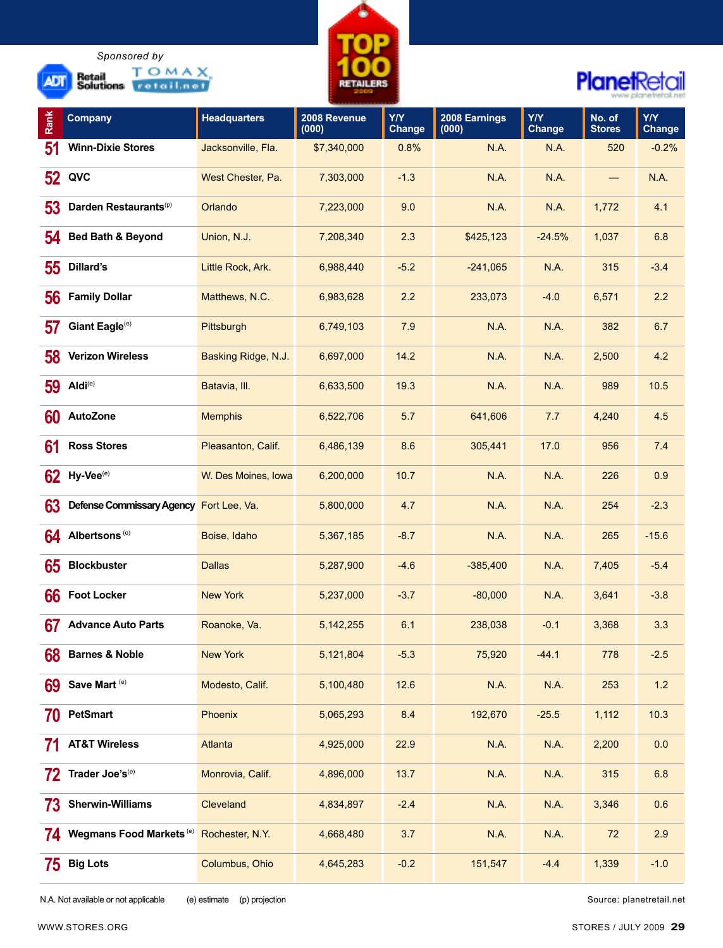





| Rank | <b>Company</b>                                                   | <b>Headquarters</b> | 2008 Revenue<br>(000) | <b>Y/Y</b><br>Change | 2008 Earnings<br>(000) | Y/Y<br>Change | No. of<br><b>Stores</b> | <b>Y/Y</b><br><b>Change</b> |
|------|------------------------------------------------------------------|---------------------|-----------------------|----------------------|------------------------|---------------|-------------------------|-----------------------------|
| 51   | <b>Winn-Dixie Stores</b>                                         | Jacksonville, Fla.  | \$7,340,000           | 0.8%                 | N.A.                   | N.A.          | 520                     | $-0.2%$                     |
| 52   | QVC                                                              | West Chester, Pa.   | 7,303,000             | $-1.3$               | N.A.                   | N.A.          |                         | N.A.                        |
| 53   | Darden Restaurants(p)                                            | Orlando             | 7,223,000             | 9.0                  | N.A.                   | N.A.          | 1,772                   | 4.1                         |
| 54   | Bed Bath & Beyond                                                | Union, N.J.         | 7,208,340             | 2.3                  | \$425,123              | $-24.5%$      | 1,037                   | 6.8                         |
| 55   | Dillard's                                                        | Little Rock, Ark.   | 6,988,440             | $-5.2$               | $-241,065$             | N.A.          | 315                     | $-3.4$                      |
| 56   | <b>Family Dollar</b>                                             | Matthews, N.C.      | 6,983,628             | 2.2                  | 233,073                | $-4.0$        | 6,571                   | 2.2                         |
| 57   | Giant Eagle <sup>(e)</sup>                                       | Pittsburgh          | 6,749,103             | 7.9                  | N.A.                   | N.A.          | 382                     | 6.7                         |
| 58   | <b>Verizon Wireless</b>                                          | Basking Ridge, N.J. | 6,697,000             | 14.2                 | N.A.                   | N.A.          | 2,500                   | 4.2                         |
| 59   | Aldi <sup>(e)</sup>                                              | Batavia, III.       | 6,633,500             | 19.3                 | N.A.                   | N.A.          | 989                     | 10.5                        |
| 60   | AutoZone                                                         | <b>Memphis</b>      | 6,522,706             | 5.7                  | 641,606                | 7.7           | 4,240                   | 4.5                         |
| 61   | <b>Ross Stores</b>                                               | Pleasanton, Calif.  | 6,486,139             | 8.6                  | 305,441                | 17.0          | 956                     | 7.4                         |
| 62   | $\mathsf{Hy}\text{-}\mathsf{V}\mathsf{e}\mathsf{e}^{\text{(e)}}$ | W. Des Moines, Iowa | 6,200,000             | 10.7                 | N.A.                   | N.A.          | 226                     | 0.9                         |
| 63   | <b>Defense Commissary Agency</b>                                 | Fort Lee, Va.       | 5,800,000             | 4.7                  | N.A.                   | N.A.          | 254                     | $-2.3$                      |
| 64   | Albertsons <sup>(e)</sup>                                        | Boise, Idaho        | 5,367,185             | $-8.7$               | N.A.                   | N.A.          | 265                     | $-15.6$                     |
| 65   | <b>Blockbuster</b>                                               | <b>Dallas</b>       | 5,287,900             | $-4.6$               | $-385,400$             | N.A.          | 7,405                   | $-5.4$                      |
| 66   | <b>Foot Locker</b>                                               | <b>New York</b>     | 5,237,000             | $-3.7$               | $-80,000$              | N.A.          | 3,641                   | $-3.8$                      |
| 67   | <b>Advance Auto Parts</b>                                        | Roanoke, Va.        | 5,142,255             | 6.1                  | 238,038                | $-0.1$        | 3,368                   | 3.3                         |
| 68   | <b>Barnes &amp; Noble</b>                                        | <b>New York</b>     | 5,121,804             | $-5.3$               | 75,920                 | $-44.1$       | 778                     | $-2.5$                      |
| 69   | Save Mart <sup>(e)</sup>                                         | Modesto, Calif.     | 5,100,480             | 12.6                 | N.A.                   | N.A.          | 253                     | 1.2                         |
| 70   | <b>PetSmart</b>                                                  | Phoenix             | 5,065,293             | 8.4                  | 192,670                | $-25.5$       | 1,112                   | 10.3                        |
| 71   | <b>AT&amp;T Wireless</b>                                         | Atlanta             | 4,925,000             | 22.9                 | N.A.                   | N.A.          | 2,200                   | 0.0                         |
| 72   | Trader Joe's <sup>(e)</sup>                                      | Monrovia, Calif.    | 4,896,000             | 13.7                 | N.A.                   | N.A.          | 315                     | 6.8                         |
| 73   | <b>Sherwin-Williams</b>                                          | Cleveland           | 4,834,897             | $-2.4$               | N.A.                   | N.A.          | 3,346                   | 0.6                         |
| 74   | Wegmans Food Markets (e)                                         | Rochester, N.Y.     | 4,668,480             | 3.7                  | N.A.                   | N.A.          | 72                      | 2.9                         |
| 75   | <b>Big Lots</b>                                                  | Columbus, Ohio      | 4,645,283             | $-0.2$               | 151,547                | $-4.4$        | 1,339                   | $-1.0$                      |